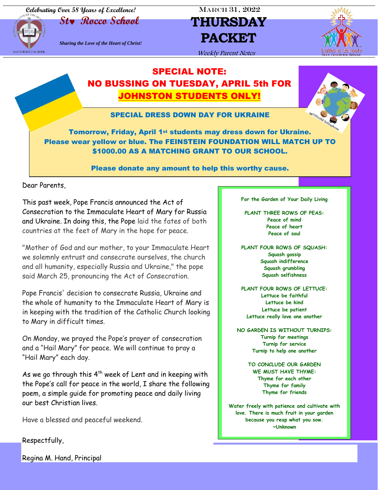**Celebrating Over 58 Years of Excellence!** MARCH 31, 2022



# **St Rocco School THURSDAY** *Sharing the Love of the Heart of Christ!* **PACKET**



Weekly Parent Notes

### SPECIAL NOTE: NO BUSSING ON TUESDAY, APRIL 5th FOR JOHNSTON STUDENTS ONLY!



SPECIAL DRESS DOWN DAY FOR UKRAINE

Tomorrow, Friday, April 1<sup>st</sup> students may dress down for Ukraine. Please wear yellow or blue. The FEINSTEIN FOUNDATION WILL MATCH UP TO \$1000.00 AS A MATCHING GRANT TO OUR SCHOOL.

Please donate any amount to help this worthy cause.

Dear Parents,

This past week, Pope Francis announced the Act of Consecration to the Immaculate Heart of Mary for Russia and Ukraine. In doing this, the Pope laid the fates of both countries at the feet of Mary in the hope for peace.

"Mother of God and our mother, to your Immaculate Heart we solemnly entrust and consecrate ourselves, the church and all humanity, especially Russia and Ukraine," the pope said March 25, pronouncing the Act of Consecration.

Pope Francis' decision to consecrate Russia, Ukraine and the whole of humanity to the Immaculate Heart of Mary is in keeping with the tradition of the Catholic Church looking to Mary in difficult times.

On Monday, we prayed the Pope's prayer of consecration and a "Hail Mary" for peace. We will continue to pray a "Hail Mary" each day.

As we go through this  $4^{th}$  week of Lent and in keeping with the Pope's call for peace in the world, I share the following poem, a simple guide for promoting peace and daily living our best Christian lives.

Have a blessed and peaceful weekend.

Respectfully,

Regina M. Hand, Principal

**For the Garden of Your Daily Living**

**PLANT THREE ROWS OF PEAS: Peace of mind Peace of heart Peace of soul**

**PLANT FOUR ROWS OF SQUASH: Squash gossip Squash indifference Squash grumbling Squash selfishness**

**PLANT FOUR ROWS OF LETTUCE: Lettuce be faithful Lettuce be kind Lettuce be patient Lettuce really love one another**

**NO GARDEN IS WITHOUT TURNIPS: Turnip for meetings Turnip for service Turnip to help one another**

> **TO CONCLUDE OUR GARDEN WE MUST HAVE THYME: Thyme for each other Thyme for family Thyme for friends**

**Water freely with patience and cultivate with love. There is much fruit in your garden because you reap what you sow. ~Unknown**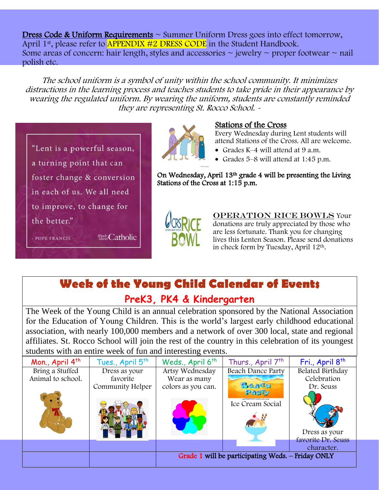Dress Code & Uniform Requirements ~ Summer Uniform Dress goes into effect tomorrow, April 1<sup>st</sup>, please refer to **APPENDIX #2 DRESS CODE** in the Student Handbook. Some areas of concern: hair length, styles and accessories  $\sim$  jewelry  $\sim$  proper footwear  $\sim$  nail polish etc.

The school uniform is a symbol of unity within the school community. It minimizes distractions in the learning process and teaches students to take pride in their appearance by wearing the regulated uniform. By wearing the uniform, students are constantly reminded they are representing St. Rocco School. -





#### Stations of the Cross

Every Wednesday during Lent students will attend Stations of the Cross. All are welcome.

- Grades K–4 will attend at 9 a.m.
- Grades 5–8 will attend at 1:45 p.m.

On Wednesday, April 13th grade 4 will be presenting the Living Stations of the Cross at 1:15 p.m.



**OPERATION RICE BOWLS Your** donations are truly appreciated by those who are less fortunate. Thank you for changing lives this Lenten Season. Please send donations in check form by Tuesday, April 12th.

**Week of the Young Child Calendar of Events**

## **PreK3, PK4 & Kindergarten**

The Week of the Young Child is an annual celebration sponsored by the National Association for the Education of Young Children. This is the world's largest early childhood educational association, with nearly 100,000 members and a network of over 300 local, state and regional affiliates. St. Rocco School will join the rest of the country in this celebration of its youngest students with an entire week of fun and interesting events.

| Mon., April 4th   | Tues., April 5 <sup>th</sup> | Weds., April 6 <sup>th</sup>                      | Thurs., April 7 <sup>th</sup>              | Fri., April 8 <sup>th</sup> |
|-------------------|------------------------------|---------------------------------------------------|--------------------------------------------|-----------------------------|
| Bring a Stuffed   | Dress as your                | Artsy Wednesday                                   | Beach Dance Party                          | Belated Birthday            |
| Animal to school. | favorite                     | Wear as many                                      |                                            | Celebration                 |
|                   | Community Helper             | colors as you can.                                | BaasH                                      | Dr. Seuss                   |
|                   |                              |                                                   | PARTY                                      |                             |
|                   |                              |                                                   | gg72387288 GoGraph.com<br>Ice Cream Social |                             |
|                   |                              |                                                   |                                            |                             |
|                   |                              |                                                   |                                            |                             |
|                   |                              |                                                   |                                            |                             |
|                   |                              |                                                   |                                            | Dress as your               |
|                   |                              |                                                   |                                            | favorite Dr. Seuss          |
|                   |                              |                                                   |                                            | character.                  |
|                   |                              | Grade 1 will be participating Weds. - Friday ONLY |                                            |                             |
|                   |                              |                                                   |                                            |                             |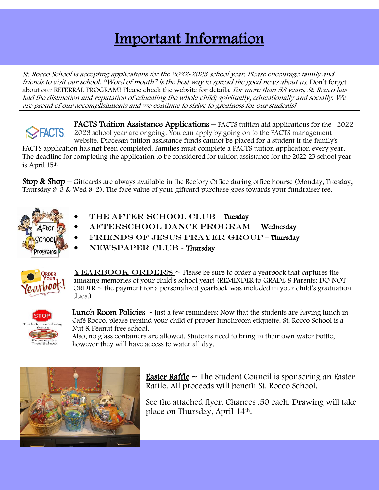# Important Information

St. Rocco School is accepting applications for the 2022-2023 school year. Please encourage family and friends to visit our school. "Word of mouth" is the best way to spread the good news about us. Don't forget about our REFERRAL PROGRAM! Please check the website for details. For more than 58 years, St. Rocco has had the distinction and reputation of educating the whole child; spiritually, educationally and socially. We are proud of our accomplishments and we continue to strive to greatness for our students!

FACTS Tuition Assistance Applications – FACTS tuition aid applications for the 2022- **EXECTS** 2023 school year are ongoing. You can apply by going on to the FACTS management website. Diocesan tuition assistance funds cannot be placed for a student if the family's FACTS application has not been completed. Families must complete a FACTS tuition application every year. The deadline for completing the application to be considered for tuition assistance for the 2022-23 school year is April 15th.

**Stop & Shop** – Giftcards are always available in the Rectory Office during office hourse (Monday, Tuesday, Thursday 9-3 & Wed 9-2). The face value of your giftcard purchase goes towards your fundraiser fee.



- THE AFTER SCHOOL CLUB Tuesday
- AFTERSCHOOL DANCE PROGRAM Wednesday
- FRIENDS OF JESUS PRAYER GROUP-Thursday
- NEWSPAPER CLUB Thursday



 $YEARBOOK ORDERS ~ Please be sure to order a yearbook that captures the$ amazing memories of your child's school year! (REMINDER to GRADE 8 Parents: DO NOT ORDER  $\sim$  the payment for a personalized yearbook was included in your child's graduation dues.)



**Lunch Room Policies**  $\sim$  Just a few reminders: Now that the students are having lunch in Café Rocco, please remind your child of proper lunchroom etiquette. St. Rocco School is a Nut & Peanut free school.

Also, no glass containers are allowed. Students need to bring in their own water bottle, however they will have access to water all day.



**Easter Raffle**  $\sim$  The Student Council is sponsoring an Easter Raffle. All proceeds will benefit St. Rocco School.

See the attached flyer. Chances .50 each. Drawing will take place on Thursday, April 14th.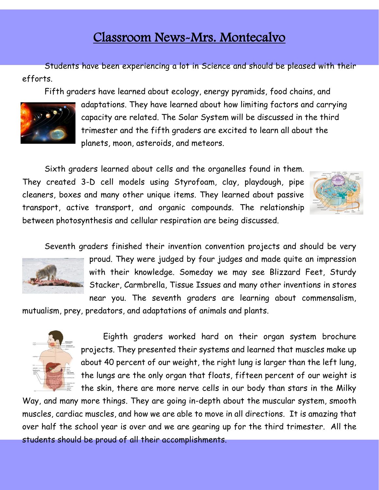## Classroom News-Mrs. Montecalvo

Students have been experiencing a lot in Science and should be pleased with their efforts.

Fifth graders have learned about ecology, energy pyramids, food chains, and



adaptations. They have learned about how limiting factors and carrying capacity are related. The Solar System will be discussed in the third trimester and the fifth graders are excited to learn all about the planets, moon, asteroids, and meteors.

Sixth graders learned about cells and the organelles found in them. They created 3-D cell models using Styrofoam, clay, playdough, pipe cleaners, boxes and many other unique items. They learned about passive transport, active transport, and organic compounds. The relationship between photosynthesis and cellular respiration are being discussed.



Seventh graders finished their invention convention projects and should be very



proud. They were judged by four judges and made quite an impression with their knowledge. Someday we may see Blizzard Feet, Sturdy Stacker, Carmbrella, Tissue Issues and many other inventions in stores near you. The seventh graders are learning about commensalism,

mutualism, prey, predators, and adaptations of animals and plants.



Eighth graders worked hard on their organ system brochure projects. They presented their systems and learned that muscles make up about 40 percent of our weight, the right lung is larger than the left lung, the lungs are the only organ that floats, fifteen percent of our weight is the skin, there are more nerve cells in our body than stars in the Milky

Way, and many more things. They are going in-depth about the muscular system, smooth muscles, cardiac muscles, and how we are able to move in all directions. It is amazing that over half the school year is over and we are gearing up for the third trimester. All the students should be proud of all their accomplishments.